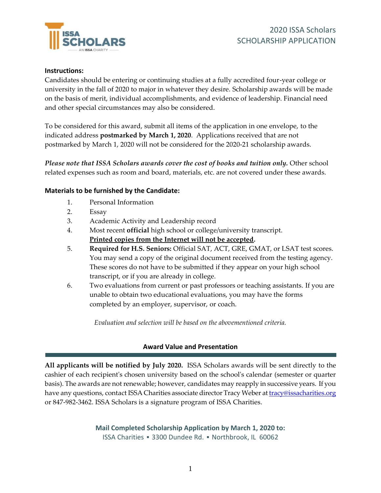

## **Instructions:**

Candidates should be entering or continuing studies at a fully accredited four-year college or university in the fall of 2020 to major in whatever they desire. Scholarship awards will be made on the basis of merit, individual accomplishments, and evidence of leadership. Financial need and other special circumstances may also be considered.

To be considered for this award, submit all items of the application in one envelope, to the indicated address **postmarked by March 1, 2020**. Applications received that are not postmarked by March 1, 2020 will not be considered for the 2020-21 scholarship awards.

*Please note that ISSA Scholars awards cover the cost of books and tuition only.* Other school related expenses such as room and board, materials, etc. are not covered under these awards.

## **Materials to be furnished by the Candidate:**

- 1. Personal Information
- 2. Essay
- 3. Academic Activity and Leadership record
- 4. Most recent **official** high school or college/university transcript. **Printed copies from the Internet will not be accepted.**
- 5. **Required for H.S. Seniors:** Official SAT, ACT, GRE, GMAT, or LSAT test scores. You may send a copy of the original document received from the testing agency. These scores do not have to be submitted if they appear on your high school transcript, or if you are already in college.
- 6. Two evaluations from current or past professors or teaching assistants. If you are unable to obtain two educational evaluations, you may have the forms completed by an employer, supervisor, or coach.

*Evaluation and selection will be based on the abovementioned criteria.*

## **Award Value and Presentation**

**All applicants will be notified by July 2020.** ISSA Scholars awards will be sent directly to the cashier of each recipient's chosen university based on the school's calendar (semester or quarter basis). The awards are not renewable; however, candidates may reapply in successive years. If you have any questions, contact ISSA Charities associate director Tracy Weber at *[tracy@issacharities.org](mailto:tracy@issacharities.org)* or 847-982-3462. ISSA Scholars is a signature program of ISSA Charities.

> **Mail Completed Scholarship Application by March 1, 2020 to:** ISSA Charities ▪ 3300 Dundee Rd. ▪ Northbrook, IL 60062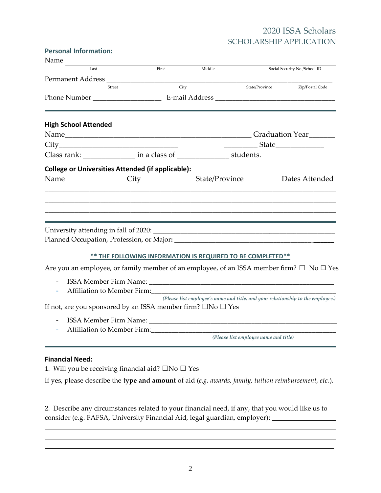## 2020 ISSA Scholars SCHOLARSHIP APPLICATION

 $\frac{1}{2}$ 

#### **Personal Information:**

| Name                        |                                                                                                    |                                                                                 |                                       |                 |
|-----------------------------|----------------------------------------------------------------------------------------------------|---------------------------------------------------------------------------------|---------------------------------------|-----------------|
| Last                        | First                                                                                              | Middle                                                                          | Social Security No./School ID         |                 |
|                             |                                                                                                    |                                                                                 |                                       |                 |
|                             | City<br>Street                                                                                     |                                                                                 | State/Province                        | Zip/Postal Code |
|                             |                                                                                                    |                                                                                 |                                       |                 |
| <b>High School Attended</b> |                                                                                                    |                                                                                 |                                       |                 |
|                             |                                                                                                    |                                                                                 |                                       |                 |
|                             |                                                                                                    |                                                                                 |                                       |                 |
|                             | Class rank: _________________ in a class of _________________ students.                            |                                                                                 |                                       |                 |
|                             | <b>College or Universities Attended (if applicable):</b>                                           |                                                                                 |                                       |                 |
| Name                        | City                                                                                               | State/Province                                                                  |                                       | Dates Attended  |
|                             |                                                                                                    |                                                                                 |                                       |                 |
|                             |                                                                                                    |                                                                                 |                                       |                 |
|                             | ** THE FOLLOWING INFORMATION IS REQUIRED TO BE COMPLETED**                                         |                                                                                 |                                       |                 |
|                             | Are you an employee, or family member of an employee, of an ISSA member firm? $\Box$ No $\Box$ Yes |                                                                                 |                                       |                 |
|                             |                                                                                                    |                                                                                 |                                       |                 |
|                             | If not, are you sponsored by an ISSA member firm? $\square$ No $\square$ Yes                       | (Please list employee's name and title, and your relationship to the employee.) |                                       |                 |
| $\overline{\phantom{a}}$    |                                                                                                    |                                                                                 |                                       |                 |
|                             |                                                                                                    |                                                                                 |                                       |                 |
|                             |                                                                                                    |                                                                                 | (Please list employee name and title) |                 |

#### **Financial Need:**

1. Will you be receiving financial aid?  $\square$  No  $\square$  Yes

If yes, please describe the **type and amount** of aid (*e.g. awards, family, tuition reimbursement, etc.*).

2. Describe any circumstances related to your financial need, if any, that you would like us to consider (e.g. FAFSA, University Financial Aid, legal guardian, employer):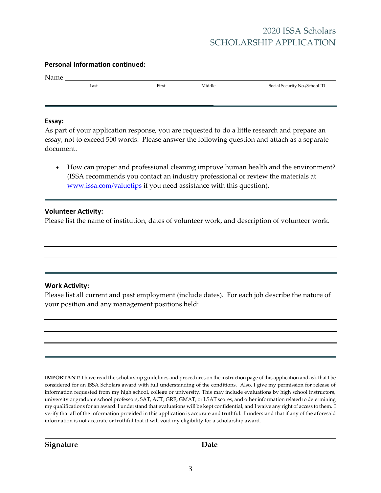# 2020 ISSA Scholars SCHOLARSHIP APPLICATION

#### **Personal Information continued:**

| Name |      |       |        |                               |
|------|------|-------|--------|-------------------------------|
|      | Last | First | Middle | Social Security No./School ID |

#### **Essay:**

| As part of your application response, you are requested to do a little research and prepare an |
|------------------------------------------------------------------------------------------------|
| essay, not to exceed 500 words. Please answer the following question and attach as a separate  |
| document.                                                                                      |

• How can proper and professional cleaning improve human health and the environment? (ISSA recommends you contact an industry professional or review the materials at [www.issa.com/valuetips](http://www.issa.com/valuetips) if you need assistance with this question).

#### **Volunteer Activity:**

Please list the name of institution, dates of volunteer work, and description of volunteer work.

## **Work Activity:**

Please list all current and past employment (include dates). For each job describe the nature of your position and any management positions held:

**IMPORTANT!** I have read the scholarship guidelines and procedures on the instruction page of this application and ask that I be considered for an ISSA Scholars award with full understanding of the conditions. Also, I give my permission for release of information requested from my high school, college or university. This may include evaluations by high school instructors, university or graduate school professors, SAT, ACT, GRE, GMAT, or LSAT scores, and other information related to determining my qualifications for an award. I understand that evaluations will be kept confidential, and I waive any right of access to them. I verify that all of the information provided in this application is accurate and truthful. I understand that if any of the aforesaid information is not accurate or truthful that it will void my eligibility for a scholarship award.

**Signature Date**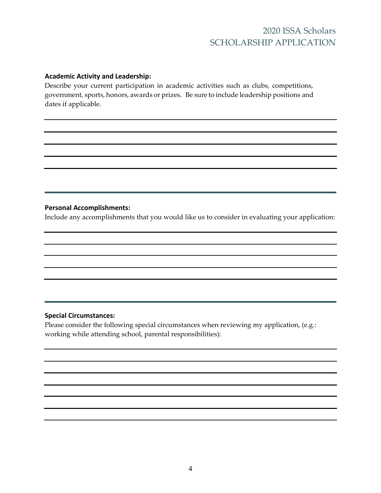## 2020 ISSA Scholars SCHOLARSHIP APPLICATION

#### **Academic Activity and Leadership:**

Describe your current participation in academic activities such as clubs, competitions, government, sports, honors, awards or prizes. Be sure to include leadership positions and dates if applicable.

## **Personal Accomplishments:**

Include any accomplishments that you would like us to consider in evaluating your application:

#### **Special Circumstances:**

Please consider the following special circumstances when reviewing my application, (e.g.: working while attending school, parental responsibilities):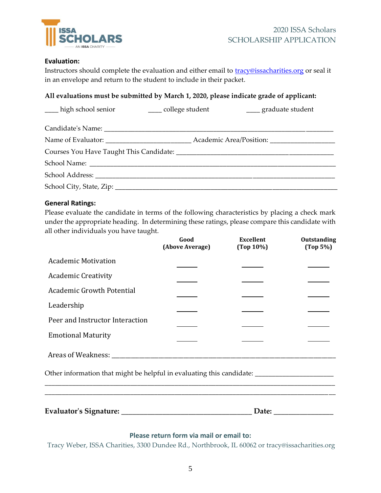

## **Evaluation:**

Instructors should complete the evaluation and either email to **tracy@issacharities.org** or seal it in an envelope and return to the student to include in their packet.

## **All evaluations must be submitted by March 1, 2020, please indicate grade of applicant:**

| ____ high school senior | ____ college student | ____ graduate student                                                                                |
|-------------------------|----------------------|------------------------------------------------------------------------------------------------------|
|                         |                      |                                                                                                      |
|                         |                      | Name of Evaluator: __________________________________Academic Area/Position: _______________________ |
|                         |                      |                                                                                                      |
|                         |                      |                                                                                                      |
|                         |                      |                                                                                                      |
|                         |                      |                                                                                                      |

## **General Ratings:**

Please evaluate the candidate in terms of the following characteristics by placing a check mark under the appropriate heading. In determining these ratings, please compare this candidate with all other individuals you have taught.

|                                                                                                     | Good<br>(Above Average) | <b>Excellent</b><br>$(Top 10\%)$ | Outstanding<br>(Top 5%) |
|-----------------------------------------------------------------------------------------------------|-------------------------|----------------------------------|-------------------------|
| <b>Academic Motivation</b>                                                                          |                         |                                  |                         |
| <b>Academic Creativity</b>                                                                          |                         |                                  |                         |
| <b>Academic Growth Potential</b>                                                                    |                         |                                  |                         |
| Leadership                                                                                          |                         |                                  |                         |
| Peer and Instructor Interaction                                                                     |                         |                                  |                         |
| <b>Emotional Maturity</b>                                                                           |                         |                                  |                         |
|                                                                                                     |                         |                                  |                         |
| Other information that might be helpful in evaluating this candidate: _____________________________ |                         |                                  |                         |
|                                                                                                     |                         |                                  |                         |
|                                                                                                     |                         |                                  |                         |

## **Please return form via mail or email to:**

Tracy Weber, ISSA Charities, 3300 Dundee Rd., Northbrook, IL 60062 or tracy@issacharities.org